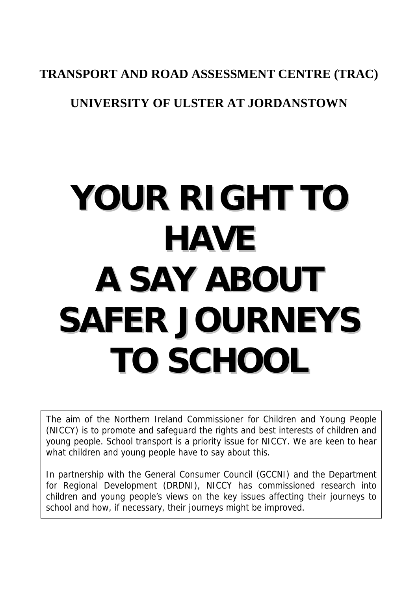#### **TRANSPORT AND ROAD ASSESSMENT CENTRE (TRAC)**

### **UNIVERSITY OF ULSTER AT JORDANSTOWN**

# **YOUR RIGHT TO HAVE A SAY ABOUT SAFER JOURNEYS TO SCHOOL**

The aim of the Northern Ireland Commissioner for Children and Young People (NICCY) is to promote and safeguard the rights and best interests of children and young people. School transport is a priority issue for NICCY. We are keen to hear what children and young people have to say about this.

In partnership with the General Consumer Council (GCCNI) and the Department for Regional Development (DRDNI), NICCY has commissioned research into children and young people's views on the key issues affecting their journeys to school and how, if necessary, their journeys might be improved.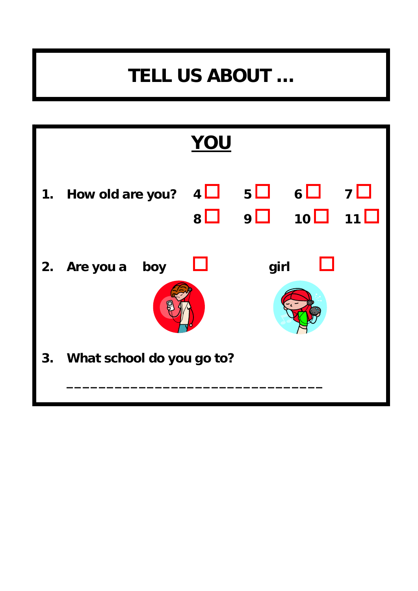### **TELL US ABOUT …**

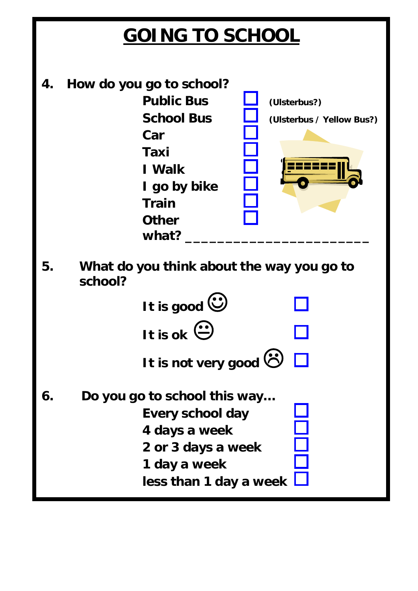### **GOING TO SCHOOL**

**4. How do you go to school? Public Bus Let** (Ulsterbus?) **School Bus**  $\Box$  (Ulsterbus / Yellow Bus?)  **Car Taxi**  1221  **I Walk I go by bike Train Other**  what? **5. What do you think about the way you go to school? It is good**  $\ddot{\mathbf{C}}$  $It is ok<sup>2</sup>$ **It is not very good ©** □ **6. Do you go to school this way… Every school day 4 days a week 2 or 3 days a week 1 day a week less than 1 day a week**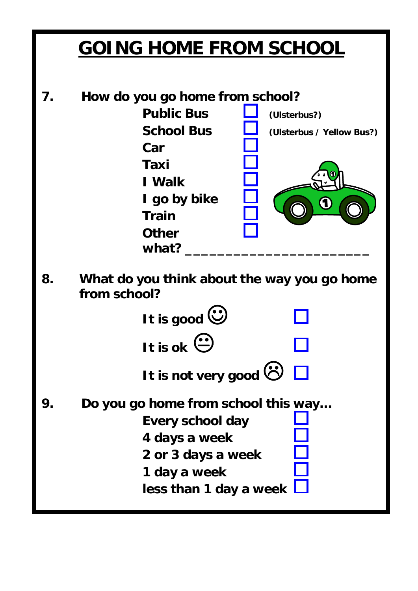### **GOING HOME FROM SCHOOL**

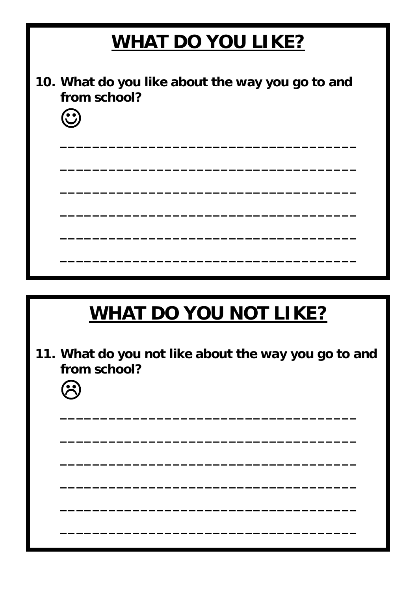# **WHAT DO YOU LIKE?** 10. What do you like about the way you go to and from school?  $\odot$ **WHAT DO YOU NOT LIKE?** 11. What do you not like about the way you go to and from school? **B**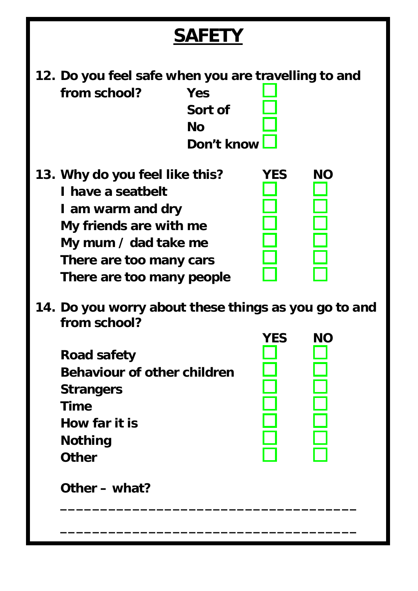### **SAFETY**

**12. Do you feel safe when you are travelling to and from school? Yes** 

 **Sort of**  *No* **No Don't know** 

- **13. Why do you feel like this? YES NO I have a seatbelt I am warm and dry My friends are with me My mum / dad take me There are too many cars There are too many people**
- **14. Do you worry about these things as you go to and from school?**

 **\_\_\_\_\_\_\_\_\_\_\_\_\_\_\_\_\_\_\_\_\_\_\_\_\_\_\_\_\_\_\_\_\_\_\_\_\_** 

 **\_\_\_\_\_\_\_\_\_\_\_\_\_\_\_\_\_\_\_\_\_\_\_\_\_\_\_\_\_\_\_\_\_\_\_\_\_**

**Road safety Behaviour of other children Strangers Time How far it is Nothing Other** 



 **Other – what?**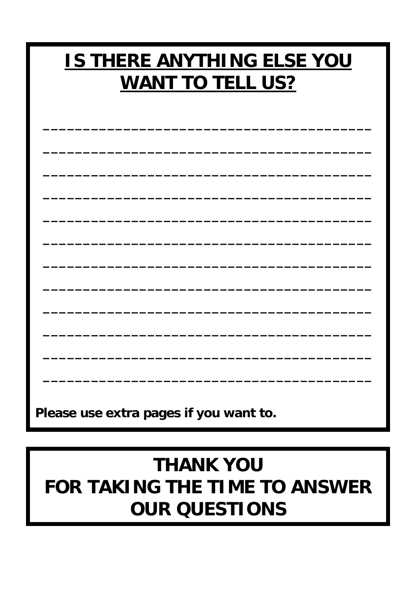### **IS THERE ANYTHING ELSE YOU WANT TO TELL US?**

Please use extra pages if you want to.

### **THANK YOU FOR TAKING THE TIME TO ANSWER OUR QUESTIONS**